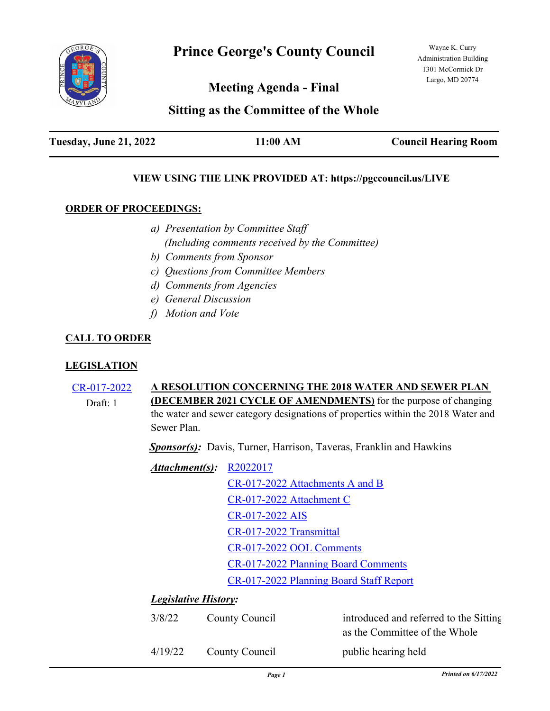

Wayne K. Curry Administration Building 1301 McCormick Dr Largo, MD 20774

**Meeting Agenda - Final**

# **Sitting as the Committee of the Whole**

## **VIEW USING THE LINK PROVIDED AT: https://pgccouncil.us/LIVE**

### **ORDER OF PROCEEDINGS:**

- *a) Presentation by Committee Staff (Including comments received by the Committee)*
- *b) Comments from Sponsor*
- *c) Questions from Committee Members*
- *d) Comments from Agencies*
- *e) General Discussion*
- *f) Motion and Vote*

## **CALL TO ORDER**

### **LEGISLATION**

[CR-017-2022](http://princegeorgescountymd.legistar.com/gateway.aspx?m=l&id=/matter.aspx?key=14655) **A RESOLUTION CONCERNING THE 2018 WATER AND SEWER PLAN (DECEMBER 2021 CYCLE OF AMENDMENTS)** for the purpose of changing the water and sewer category designations of properties within the 2018 Water and Sewer Plan. Draft: 1

*Sponsor(s):* Davis, Turner, Harrison, Taveras, Franklin and Hawkins

| $Attachment(s): R2022017$ |                                         |  |
|---------------------------|-----------------------------------------|--|
|                           | CR-017-2022 Attachments A and B         |  |
|                           | CR-017-2022 Attachment C                |  |
|                           | CR-017-2022 AIS                         |  |
|                           | CR-017-2022 Transmittal                 |  |
|                           | CR-017-2022 OOL Comments                |  |
|                           | CR-017-2022 Planning Board Comments     |  |
|                           | CR-017-2022 Planning Board Staff Report |  |

### *Legislative History:*

| 3/8/22  | County Council | introduced and referred to the Sitting<br>as the Committee of the Whole |
|---------|----------------|-------------------------------------------------------------------------|
| 4/19/22 | County Council | public hearing held                                                     |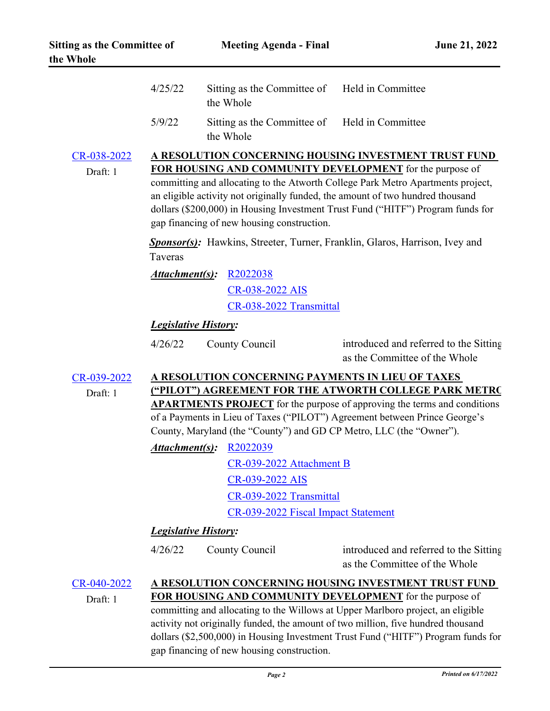|                                                                                                       | 4/25/22                                                                                                                                                                                                                                                                                            | Sitting as the Committee of Held in Committee<br>the Whole |                                                                                    |  |
|-------------------------------------------------------------------------------------------------------|----------------------------------------------------------------------------------------------------------------------------------------------------------------------------------------------------------------------------------------------------------------------------------------------------|------------------------------------------------------------|------------------------------------------------------------------------------------|--|
|                                                                                                       | 5/9/22                                                                                                                                                                                                                                                                                             | Sitting as the Committee of Held in Committee<br>the Whole |                                                                                    |  |
| CR-038-2022                                                                                           |                                                                                                                                                                                                                                                                                                    |                                                            | A RESOLUTION CONCERNING HOUSING INVESTMENT TRUST FUND                              |  |
| Draft: 1                                                                                              |                                                                                                                                                                                                                                                                                                    |                                                            | FOR HOUSING AND COMMUNITY DEVELOPMENT for the purpose of                           |  |
|                                                                                                       | committing and allocating to the Atworth College Park Metro Apartments project,<br>an eligible activity not originally funded, the amount of two hundred thousand<br>dollars (\$200,000) in Housing Investment Trust Fund ("HITF") Program funds for<br>gap financing of new housing construction. |                                                            |                                                                                    |  |
|                                                                                                       | Taveras                                                                                                                                                                                                                                                                                            |                                                            | <b>Sponsor(s):</b> Hawkins, Streeter, Turner, Franklin, Glaros, Harrison, Ivey and |  |
|                                                                                                       | Attachment(s):                                                                                                                                                                                                                                                                                     | R <sub>2022038</sub>                                       |                                                                                    |  |
|                                                                                                       |                                                                                                                                                                                                                                                                                                    | CR-038-2022 AIS                                            |                                                                                    |  |
|                                                                                                       |                                                                                                                                                                                                                                                                                                    | CR-038-2022 Transmittal                                    |                                                                                    |  |
|                                                                                                       | <b>Legislative History:</b>                                                                                                                                                                                                                                                                        |                                                            |                                                                                    |  |
|                                                                                                       | 4/26/22                                                                                                                                                                                                                                                                                            | County Council                                             | introduced and referred to the Sitting<br>as the Committee of the Whole            |  |
| CR-039-2022                                                                                           |                                                                                                                                                                                                                                                                                                    |                                                            | A RESOLUTION CONCERNING PAYMENTS IN LIEU OF TAXES                                  |  |
| Draft: 1                                                                                              |                                                                                                                                                                                                                                                                                                    |                                                            | ("PILOT") AGREEMENT FOR THE ATWORTH COLLEGE PARK METRO                             |  |
|                                                                                                       | <b>APARTMENTS PROJECT</b> for the purpose of approving the terms and conditions                                                                                                                                                                                                                    |                                                            |                                                                                    |  |
|                                                                                                       |                                                                                                                                                                                                                                                                                                    |                                                            | of a Payments in Lieu of Taxes ("PILOT") Agreement between Prince George's         |  |
| County, Maryland (the "County") and GD CP Metro, LLC (the "Owner").<br><b>Attachment(s): R2022039</b> |                                                                                                                                                                                                                                                                                                    |                                                            |                                                                                    |  |
|                                                                                                       |                                                                                                                                                                                                                                                                                                    | CR-039-2022 Attachment B                                   |                                                                                    |  |
|                                                                                                       |                                                                                                                                                                                                                                                                                                    | CR-039-2022 AIS                                            |                                                                                    |  |
|                                                                                                       |                                                                                                                                                                                                                                                                                                    | CR-039-2022 Transmittal                                    |                                                                                    |  |
|                                                                                                       |                                                                                                                                                                                                                                                                                                    | CR-039-2022 Fiscal Impact Statement                        |                                                                                    |  |
|                                                                                                       | <b>Legislative History:</b>                                                                                                                                                                                                                                                                        |                                                            |                                                                                    |  |
|                                                                                                       | 4/26/22                                                                                                                                                                                                                                                                                            | County Council                                             | introduced and referred to the Sitting                                             |  |
|                                                                                                       |                                                                                                                                                                                                                                                                                                    |                                                            | as the Committee of the Whole                                                      |  |
| CR-040-2022                                                                                           |                                                                                                                                                                                                                                                                                                    |                                                            | A RESOLUTION CONCERNING HOUSING INVESTMENT TRUST FUND                              |  |
| Draft: 1                                                                                              | <b>FOR HOUSING AND COMMUNITY DEVELOPMENT</b> for the purpose of                                                                                                                                                                                                                                    |                                                            |                                                                                    |  |
|                                                                                                       | committing and allocating to the Willows at Upper Marlboro project, an eligible                                                                                                                                                                                                                    |                                                            |                                                                                    |  |
|                                                                                                       | activity not originally funded, the amount of two million, five hundred thousand<br>dollars (\$2,500,000) in Housing Investment Trust Fund ("HITF") Program funds for                                                                                                                              |                                                            |                                                                                    |  |
|                                                                                                       | gap financing of new housing construction.                                                                                                                                                                                                                                                         |                                                            |                                                                                    |  |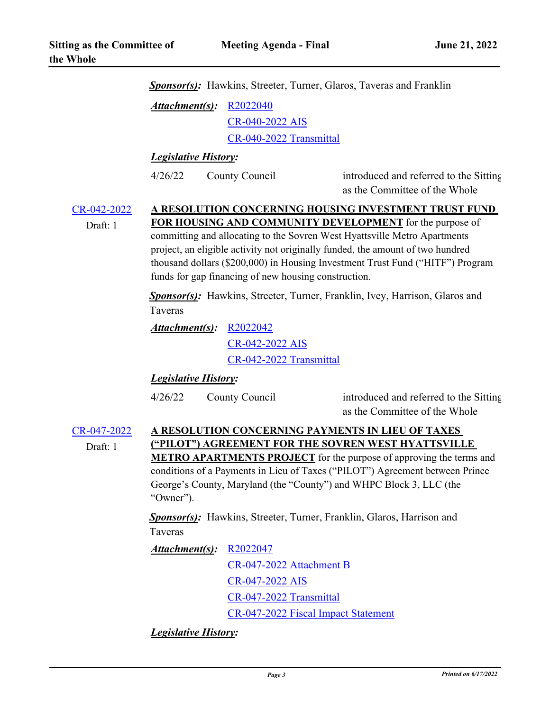|                         |                                                                                                                                                                                                                                                                                                                                                                                                                                   |                                                                              | <b>Sponsor(s):</b> Hawkins, Streeter, Turner, Glaros, Taveras and Franklin         |  |
|-------------------------|-----------------------------------------------------------------------------------------------------------------------------------------------------------------------------------------------------------------------------------------------------------------------------------------------------------------------------------------------------------------------------------------------------------------------------------|------------------------------------------------------------------------------|------------------------------------------------------------------------------------|--|
|                         | <u>Attachment(s)</u> :                                                                                                                                                                                                                                                                                                                                                                                                            | R2022040                                                                     |                                                                                    |  |
|                         |                                                                                                                                                                                                                                                                                                                                                                                                                                   | CR-040-2022 AIS                                                              |                                                                                    |  |
|                         |                                                                                                                                                                                                                                                                                                                                                                                                                                   | CR-040-2022 Transmittal                                                      |                                                                                    |  |
|                         | <b>Legislative History:</b>                                                                                                                                                                                                                                                                                                                                                                                                       |                                                                              |                                                                                    |  |
|                         | 4/26/22                                                                                                                                                                                                                                                                                                                                                                                                                           | County Council                                                               | introduced and referred to the Sitting<br>as the Committee of the Whole            |  |
| CR-042-2022<br>Draft: 1 | A RESOLUTION CONCERNING HOUSING INVESTMENT TRUST FUND<br><b>FOR HOUSING AND COMMUNITY DEVELOPMENT</b> for the purpose of<br>committing and allocating to the Sovren West Hyattsville Metro Apartments<br>project, an eligible activity not originally funded, the amount of two hundred<br>thousand dollars (\$200,000) in Housing Investment Trust Fund ("HITF") Program<br>funds for gap financing of new housing construction. |                                                                              |                                                                                    |  |
|                         | Taveras                                                                                                                                                                                                                                                                                                                                                                                                                           |                                                                              | <b>Sponsor(s):</b> Hawkins, Streeter, Turner, Franklin, Ivey, Harrison, Glaros and |  |
|                         | Attachment(s):                                                                                                                                                                                                                                                                                                                                                                                                                    | R2022042                                                                     |                                                                                    |  |
|                         |                                                                                                                                                                                                                                                                                                                                                                                                                                   | CR-042-2022 AIS                                                              |                                                                                    |  |
|                         |                                                                                                                                                                                                                                                                                                                                                                                                                                   | CR-042-2022 Transmittal                                                      |                                                                                    |  |
|                         | <b>Legislative History:</b>                                                                                                                                                                                                                                                                                                                                                                                                       |                                                                              |                                                                                    |  |
|                         | 4/26/22                                                                                                                                                                                                                                                                                                                                                                                                                           | County Council                                                               | introduced and referred to the Sitting<br>as the Committee of the Whole            |  |
| CR-047-2022             |                                                                                                                                                                                                                                                                                                                                                                                                                                   |                                                                              | A RESOLUTION CONCERNING PAYMENTS IN LIEU OF TAXES                                  |  |
| Draft: 1                | ("PILOT") AGREEMENT FOR THE SOVREN WEST HYATTSVILLE<br><b>METRO APARTMENTS PROJECT</b> for the purpose of approving the terms and<br>conditions of a Payments in Lieu of Taxes ("PILOT") Agreement between Prince<br>George's County, Maryland (the "County") and WHPC Block 3, LLC (the<br>"Owner").                                                                                                                             |                                                                              |                                                                                    |  |
|                         | Taveras                                                                                                                                                                                                                                                                                                                                                                                                                           | <b>Sponsor(s):</b> Hawkins, Streeter, Turner, Franklin, Glaros, Harrison and |                                                                                    |  |
|                         | <u>Attachment(s)</u> :                                                                                                                                                                                                                                                                                                                                                                                                            | R <sub>2022047</sub>                                                         |                                                                                    |  |
|                         |                                                                                                                                                                                                                                                                                                                                                                                                                                   | CR-047-2022 Attachment B                                                     |                                                                                    |  |
|                         |                                                                                                                                                                                                                                                                                                                                                                                                                                   | CR-047-2022 AIS                                                              |                                                                                    |  |
|                         |                                                                                                                                                                                                                                                                                                                                                                                                                                   | CR-047-2022 Transmittal                                                      |                                                                                    |  |
|                         |                                                                                                                                                                                                                                                                                                                                                                                                                                   |                                                                              | CR-047-2022 Fiscal Impact Statement                                                |  |
|                         |                                                                                                                                                                                                                                                                                                                                                                                                                                   |                                                                              |                                                                                    |  |

*Legislative History:*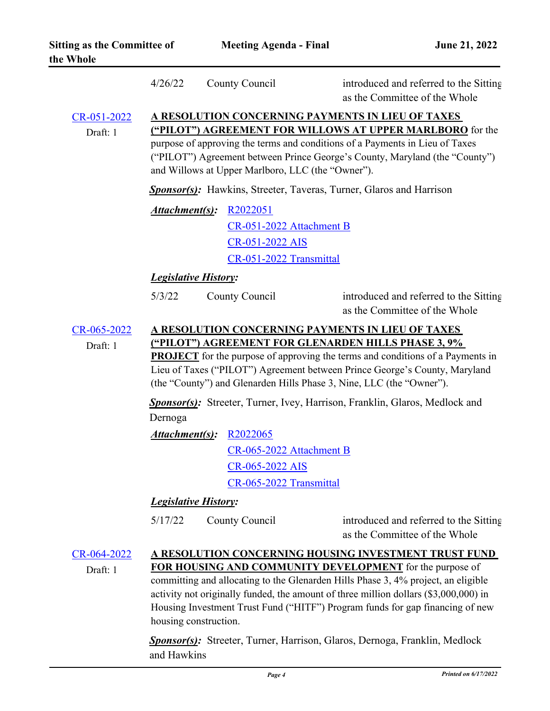|                               | 4/26/22                                                                                                                                                                                                                                                                                                                                                                                                                                                                                                      | County Council                                                                                 | introduced and referred to the Sitting<br>as the Committee of the Whole |
|-------------------------------|--------------------------------------------------------------------------------------------------------------------------------------------------------------------------------------------------------------------------------------------------------------------------------------------------------------------------------------------------------------------------------------------------------------------------------------------------------------------------------------------------------------|------------------------------------------------------------------------------------------------|-------------------------------------------------------------------------|
| CR-051-2022<br>Draft: 1       | A RESOLUTION CONCERNING PAYMENTS IN LIEU OF TAXES<br>("PILOT") AGREEMENT FOR WILLOWS AT UPPER MARLBORO for the<br>purpose of approving the terms and conditions of a Payments in Lieu of Taxes<br>("PILOT") Agreement between Prince George's County, Maryland (the "County")<br>and Willows at Upper Marlboro, LLC (the "Owner").                                                                                                                                                                           |                                                                                                |                                                                         |
|                               | <b>Sponsor(s):</b> Hawkins, Streeter, Taveras, Turner, Glaros and Harrison                                                                                                                                                                                                                                                                                                                                                                                                                                   |                                                                                                |                                                                         |
|                               | Attachment(s):                                                                                                                                                                                                                                                                                                                                                                                                                                                                                               | R <sub>2022051</sub><br>CR-051-2022 Attachment B<br>CR-051-2022 AIS<br>CR-051-2022 Transmittal |                                                                         |
|                               | <b>Legislative History:</b>                                                                                                                                                                                                                                                                                                                                                                                                                                                                                  |                                                                                                |                                                                         |
|                               | 5/3/22                                                                                                                                                                                                                                                                                                                                                                                                                                                                                                       | County Council                                                                                 | introduced and referred to the Sitting<br>as the Committee of the Whole |
| CR-065-2022<br>Draft: 1       | A RESOLUTION CONCERNING PAYMENTS IN LIEU OF TAXES<br>("PILOT") AGREEMENT FOR GLENARDEN HILLS PHASE 3, 9%<br><b>PROJECT</b> for the purpose of approving the terms and conditions of a Payments in<br>Lieu of Taxes ("PILOT") Agreement between Prince George's County, Maryland<br>(the "County") and Glenarden Hills Phase 3, Nine, LLC (the "Owner").<br><b>Sponsor(s):</b> Streeter, Turner, Ivey, Harrison, Franklin, Glaros, Medlock and<br>Dernoga                                                     |                                                                                                |                                                                         |
|                               |                                                                                                                                                                                                                                                                                                                                                                                                                                                                                                              | <b>Attachment(s): R2022065</b>                                                                 |                                                                         |
|                               |                                                                                                                                                                                                                                                                                                                                                                                                                                                                                                              | CR-065-2022 Attachment B                                                                       |                                                                         |
|                               |                                                                                                                                                                                                                                                                                                                                                                                                                                                                                                              | CR-065-2022 AIS                                                                                |                                                                         |
|                               |                                                                                                                                                                                                                                                                                                                                                                                                                                                                                                              | CR-065-2022 Transmittal                                                                        |                                                                         |
| <b>Legislative History:</b>   |                                                                                                                                                                                                                                                                                                                                                                                                                                                                                                              |                                                                                                |                                                                         |
|                               | 5/17/22                                                                                                                                                                                                                                                                                                                                                                                                                                                                                                      | County Council                                                                                 | introduced and referred to the Sitting<br>as the Committee of the Whole |
| $CR - 064 - 2022$<br>Draft: 1 | A RESOLUTION CONCERNING HOUSING INVESTMENT TRUST FUND<br>FOR HOUSING AND COMMUNITY DEVELOPMENT for the purpose of<br>committing and allocating to the Glenarden Hills Phase 3, 4% project, an eligible<br>activity not originally funded, the amount of three million dollars (\$3,000,000) in<br>Housing Investment Trust Fund ("HITF") Program funds for gap financing of new<br>housing construction.<br><b>Sponsor(s):</b> Streeter, Turner, Harrison, Glaros, Dernoga, Franklin, Medlock<br>and Hawkins |                                                                                                |                                                                         |